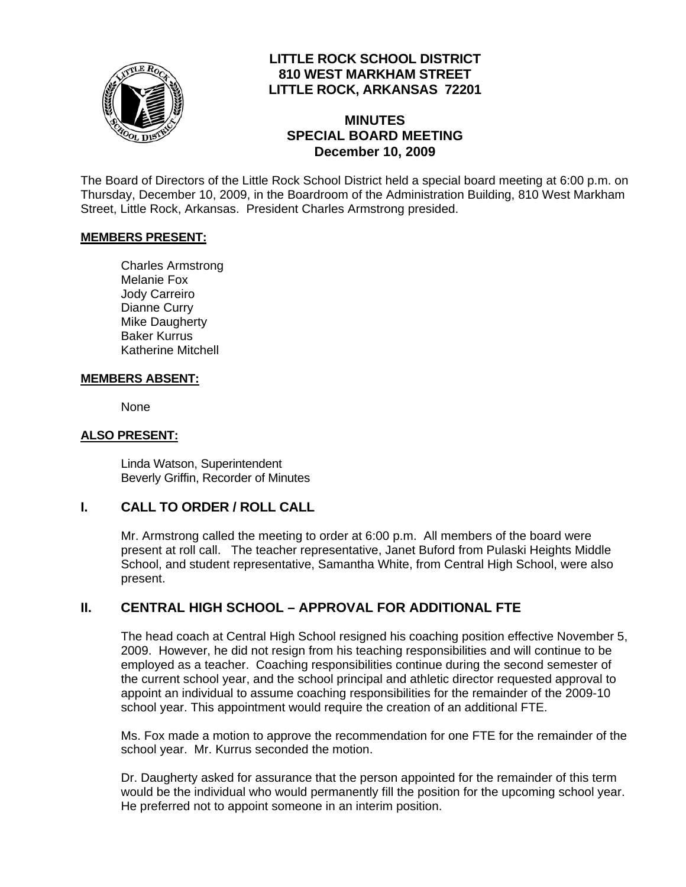

# **LITTLE ROCK SCHOOL DISTRICT 810 WEST MARKHAM STREET LITTLE ROCK, ARKANSAS 72201**

## **MINUTES SPECIAL BOARD MEETING December 10, 2009**

The Board of Directors of the Little Rock School District held a special board meeting at 6:00 p.m. on Thursday, December 10, 2009, in the Boardroom of the Administration Building, 810 West Markham Street, Little Rock, Arkansas. President Charles Armstrong presided.

#### **MEMBERS PRESENT:**

Charles Armstrong Melanie Fox Jody Carreiro Dianne Curry Mike Daugherty Baker Kurrus Katherine Mitchell

## **MEMBERS ABSENT:**

None

#### **ALSO PRESENT:**

 Linda Watson, Superintendent Beverly Griffin, Recorder of Minutes

## **I. CALL TO ORDER / ROLL CALL**

Mr. Armstrong called the meeting to order at 6:00 p.m. All members of the board were present at roll call. The teacher representative, Janet Buford from Pulaski Heights Middle School, and student representative, Samantha White, from Central High School, were also present.

# **II. CENTRAL HIGH SCHOOL – APPROVAL FOR ADDITIONAL FTE**

The head coach at Central High School resigned his coaching position effective November 5, 2009. However, he did not resign from his teaching responsibilities and will continue to be employed as a teacher. Coaching responsibilities continue during the second semester of the current school year, and the school principal and athletic director requested approval to appoint an individual to assume coaching responsibilities for the remainder of the 2009-10 school year. This appointment would require the creation of an additional FTE.

Ms. Fox made a motion to approve the recommendation for one FTE for the remainder of the school year. Mr. Kurrus seconded the motion.

Dr. Daugherty asked for assurance that the person appointed for the remainder of this term would be the individual who would permanently fill the position for the upcoming school year. He preferred not to appoint someone in an interim position.